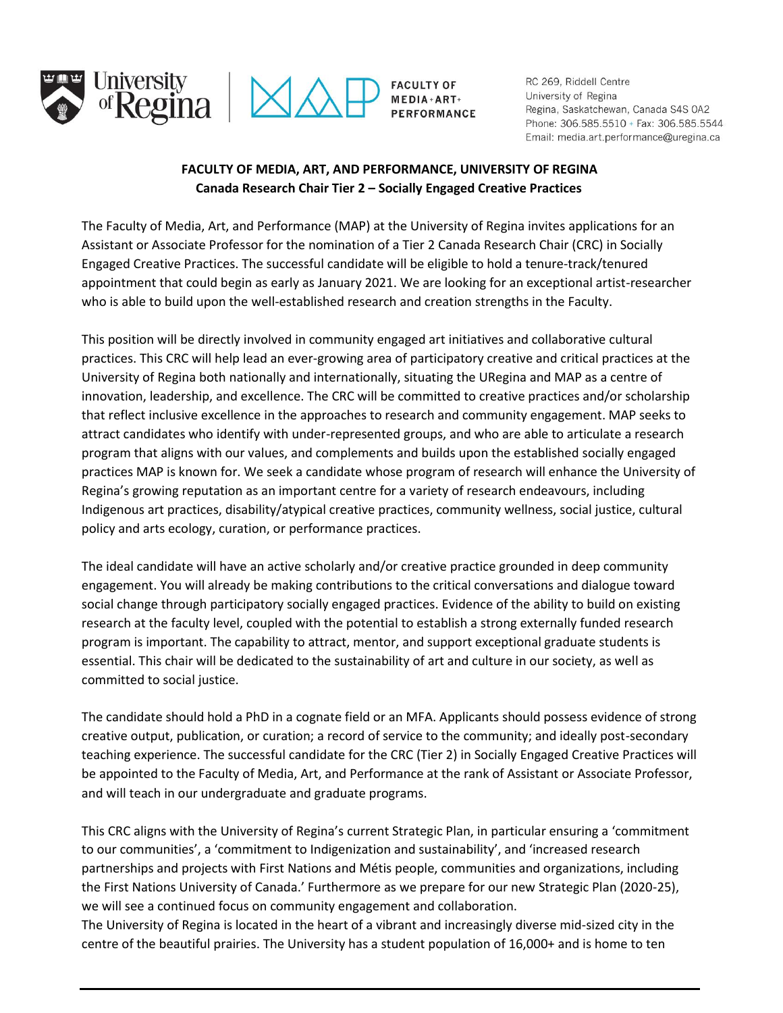



**FACULTY OF** MEDIA + ART+ **PERFORMANCE**  RC 269, Riddell Centre University of Regina Regina, Saskatchewan, Canada S4S 0A2 Phone: 306.585.5510 + Fax: 306.585.5544 Email: media.art.performance@uregina.ca

## **FACULTY OF MEDIA, ART, AND PERFORMANCE, UNIVERSITY OF REGINA Canada Research Chair Tier 2 – Socially Engaged Creative Practices**

The Faculty of Media, Art, and Performance (MAP) at the University of Regina invites applications for an Assistant or Associate Professor for the nomination of a Tier 2 Canada Research Chair (CRC) in Socially Engaged Creative Practices. The successful candidate will be eligible to hold a tenure-track/tenured appointment that could begin as early as January 2021. We are looking for an exceptional artist-researcher who is able to build upon the well-established research and creation strengths in the Faculty.

This position will be directly involved in community engaged art initiatives and collaborative cultural practices. This CRC will help lead an ever-growing area of participatory creative and critical practices at the University of Regina both nationally and internationally, situating the URegina and MAP as a centre of innovation, leadership, and excellence. The CRC will be committed to creative practices and/or scholarship that reflect inclusive excellence in the approaches to research and community engagement. MAP seeks to attract candidates who identify with under-represented groups, and who are able to articulate a research program that aligns with our values, and complements and builds upon the established socially engaged practices MAP is known for. We seek a candidate whose program of research will enhance the University of Regina's growing reputation as an important centre for a variety of research endeavours, including Indigenous art practices, disability/atypical creative practices, community wellness, social justice, cultural policy and arts ecology, curation, or performance practices.

The ideal candidate will have an active scholarly and/or creative practice grounded in deep community engagement. You will already be making contributions to the critical conversations and dialogue toward social change through participatory socially engaged practices. Evidence of the ability to build on existing research at the faculty level, coupled with the potential to establish a strong externally funded research program is important. The capability to attract, mentor, and support exceptional graduate students is essential. This chair will be dedicated to the sustainability of art and culture in our society, as well as committed to social justice.

The candidate should hold a PhD in a cognate field or an MFA. Applicants should possess evidence of strong creative output, publication, or curation; a record of service to the community; and ideally post-secondary teaching experience. The successful candidate for the CRC (Tier 2) in Socially Engaged Creative Practices will be appointed to the Faculty of Media, Art, and Performance at the rank of Assistant or Associate Professor, and will teach in our undergraduate and graduate programs.

This CRC aligns with the University of Regina's current Strategic Plan, in particular ensuring a 'commitment to our communities', a 'commitment to Indigenization and sustainability', and 'increased research partnerships and projects with First Nations and Métis people, communities and organizations, including the First Nations University of Canada.' Furthermore as we prepare for our new Strategic Plan (2020-25), we will see a continued focus on community engagement and collaboration.

The University of Regina is located in the heart of a vibrant and increasingly diverse mid-sized city in the centre of the beautiful prairies. The University has a student population of 16,000+ and is home to ten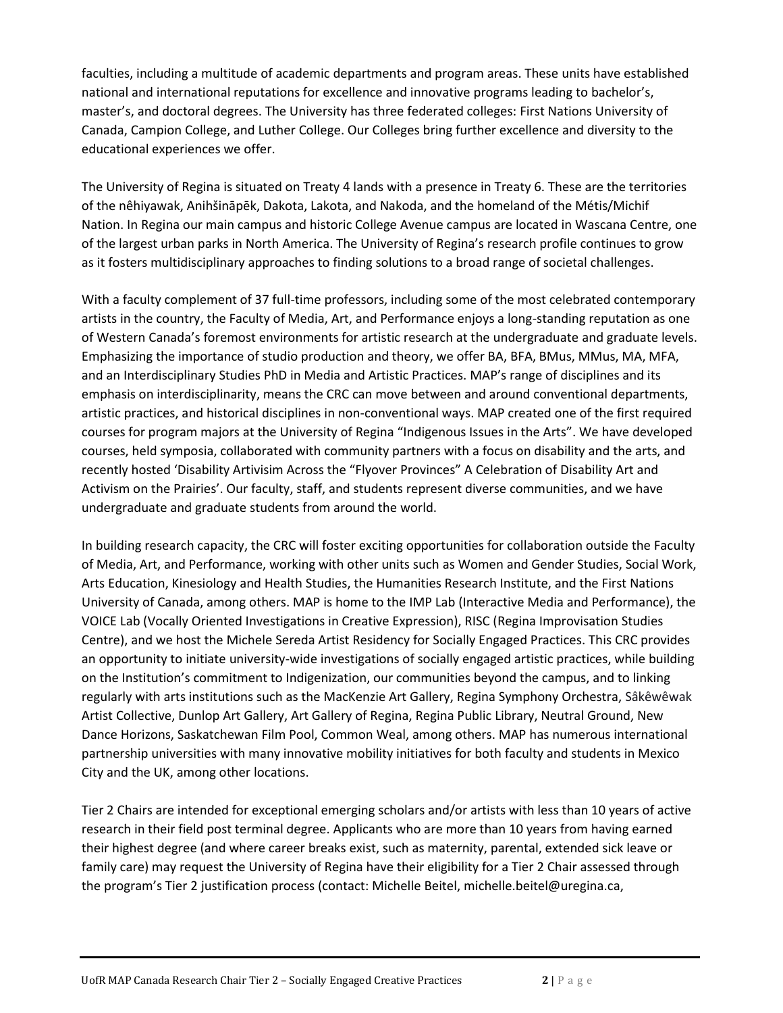faculties, including a multitude of academic departments and program areas. These units have established national and international reputations for excellence and innovative programs leading to bachelor's, master's, and doctoral degrees. The University has three federated colleges: First Nations University of Canada, Campion College, and [Luther College.](https://www.luthercollege.edu/university/) Our Colleges bring further excellence and diversity to the educational experiences we offer.

The University of Regina is situated on Treaty 4 lands with a presence in Treaty 6. These are the territories of the nêhiyawak, Anihšināpēk, Dakota, Lakota, and Nakoda, and the homeland of the Métis/Michif Nation. In Regina our main campus and historic College Avenue campus are located in Wascana Centre, one of the largest urban parks in North America. The University of Regina's research profile continues to grow as it fosters multidisciplinary approaches to finding solutions to a broad range of societal challenges.

With a faculty complement of 37 full-time professors, including some of the most celebrated contemporary artists in the country, the Faculty of Media, Art, and Performance enjoys a long-standing reputation as one of Western Canada's foremost environments for artistic research at the undergraduate and graduate levels. Emphasizing the importance of studio production and theory, we offer BA, BFA, BMus, MMus, MA, MFA, and an Interdisciplinary Studies PhD in Media and Artistic Practices. MAP's range of disciplines and its emphasis on interdisciplinarity, means the CRC can move between and around conventional departments, artistic practices, and historical disciplines in non-conventional ways. MAP created one of the first required courses for program majors at the University of Regina "Indigenous Issues in the Arts". We have developed courses, held symposia, collaborated with community partners with a focus on disability and the arts, and recently hosted 'Disability Artivisim Across the "Flyover Provinces" A Celebration of Disability Art and Activism on the Prairies'. Our faculty, staff, and students represent diverse communities, and we have undergraduate and graduate students from around the world.

In building research capacity, the CRC will foster exciting opportunities for collaboration outside the Faculty of Media, Art, and Performance, working with other units such as Women and Gender Studies, Social Work, Arts Education, Kinesiology and Health Studies, the Humanities Research Institute, and the First Nations University of Canada, among others. MAP is home to the IMP Lab (Interactive Media and Performance), the VOICE Lab (Vocally Oriented Investigations in Creative Expression), RISC (Regina Improvisation Studies Centre), and we host the Michele Sereda Artist Residency for Socially Engaged Practices. This CRC provides an opportunity to initiate university-wide investigations of socially engaged artistic practices, while building on the Institution's commitment to Indigenization, our communities beyond the campus, and to linking regularly with arts institutions such as the MacKenzie Art Gallery, Regina Symphony Orchestra, Sâkêwêwak Artist Collective, Dunlop Art Gallery, Art Gallery of Regina, Regina Public Library, Neutral Ground, New Dance Horizons, Saskatchewan Film Pool, Common Weal, among others. MAP has numerous international partnership universities with many innovative mobility initiatives for both faculty and students in Mexico City and the UK, among other locations.

Tier 2 Chairs are intended for exceptional emerging scholars and/or artists with less than 10 years of active research in their field post terminal degree. Applicants who are more than 10 years from having earned their highest degree (and where career breaks exist, such as maternity, parental, extended sick leave or family care) may request the University of Regina have their eligibility for a Tier 2 Chair assessed through the program's Tier 2 justification process (contact: Michelle Beitel[, michelle.beitel@uregina.ca,](mailto:michelle.beitel@uregina.ca)